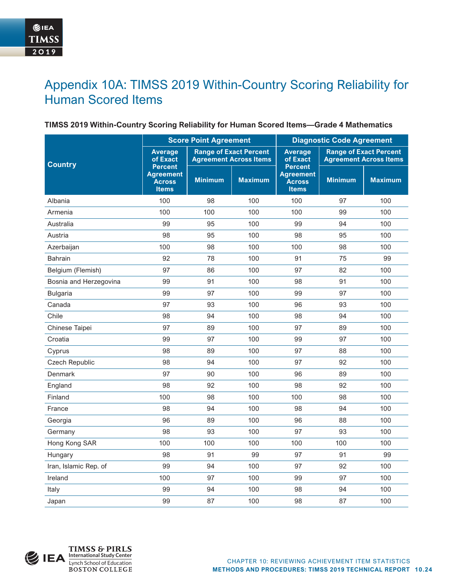# Appendix 10A: TIMSS 2019 Within-Country Scoring Reliability for Human Scored Items

### **TIMSS 2019 Within-Country Scoring Reliability for Human Scored Items—Grade 4 Mathematics**

|                        |                                                                                              | <b>Score Point Agreement</b> |                | <b>Diagnostic Code Agreement</b>                                    |                |                                                                |  |
|------------------------|----------------------------------------------------------------------------------------------|------------------------------|----------------|---------------------------------------------------------------------|----------------|----------------------------------------------------------------|--|
| <b>Country</b>         | <b>Range of Exact Percent</b><br><b>Average</b><br>of Exact<br><b>Agreement Across Items</b> |                              |                | <b>Average</b><br>of Exact                                          |                | <b>Range of Exact Percent</b><br><b>Agreement Across Items</b> |  |
|                        | <b>Percent</b><br><b>Agreement</b><br><b>Across</b><br><b>Items</b>                          | <b>Minimum</b>               | <b>Maximum</b> | <b>Percent</b><br><b>Agreement</b><br><b>Across</b><br><b>Items</b> | <b>Minimum</b> | <b>Maximum</b>                                                 |  |
| Albania                | 100                                                                                          | 98                           | 100            | 100                                                                 | 97             | 100                                                            |  |
| Armenia                | 100                                                                                          | 100                          | 100            | 100                                                                 | 99             | 100                                                            |  |
| Australia              | 99                                                                                           | 95                           | 100            | 99                                                                  | 94             | 100                                                            |  |
| Austria                | 98                                                                                           | 95                           | 100            | 98                                                                  | 95             | 100                                                            |  |
| Azerbaijan             | 100                                                                                          | 98                           | 100            | 100                                                                 | 98             | 100                                                            |  |
| <b>Bahrain</b>         | 92                                                                                           | 78                           | 100            | 91                                                                  | 75             | 99                                                             |  |
| Belgium (Flemish)      | 97                                                                                           | 86                           | 100            | 97                                                                  | 82             | 100                                                            |  |
| Bosnia and Herzegovina | 99                                                                                           | 91                           | 100            | 98                                                                  | 91             | 100                                                            |  |
| <b>Bulgaria</b>        | 99                                                                                           | 97                           | 100            | 99                                                                  | 97             | 100                                                            |  |
| Canada                 | 97                                                                                           | 93                           | 100            | 96                                                                  | 93             | 100                                                            |  |
| Chile                  | 98                                                                                           | 94                           | 100            | 98                                                                  | 94             | 100                                                            |  |
| Chinese Taipei         | 97                                                                                           | 89                           | 100            | 97                                                                  | 89             | 100                                                            |  |
| Croatia                | 99                                                                                           | 97                           | 100            | 99                                                                  | 97             | 100                                                            |  |
| Cyprus                 | 98                                                                                           | 89                           | 100            | 97                                                                  | 88             | 100                                                            |  |
| <b>Czech Republic</b>  | 98                                                                                           | 94                           | 100            | 97                                                                  | 92             | 100                                                            |  |
| Denmark                | 97                                                                                           | 90                           | 100            | 96                                                                  | 89             | 100                                                            |  |
| England                | 98                                                                                           | 92                           | 100            | 98                                                                  | 92             | 100                                                            |  |
| Finland                | 100                                                                                          | 98                           | 100            | 100                                                                 | 98             | 100                                                            |  |
| France                 | 98                                                                                           | 94                           | 100            | 98                                                                  | 94             | 100                                                            |  |
| Georgia                | 96                                                                                           | 89                           | 100            | 96                                                                  | 88             | 100                                                            |  |
| Germany                | 98                                                                                           | 93                           | 100            | 97                                                                  | 93             | 100                                                            |  |
| Hong Kong SAR          | 100                                                                                          | 100                          | 100            | 100                                                                 | 100            | 100                                                            |  |
| Hungary                | 98                                                                                           | 91                           | 99             | 97                                                                  | 91             | 99                                                             |  |
| Iran, Islamic Rep. of  | 99                                                                                           | 94                           | 100            | 97                                                                  | 92             | 100                                                            |  |
| Ireland                | 100                                                                                          | 97                           | 100            | 99                                                                  | 97             | 100                                                            |  |
| Italy                  | 99                                                                                           | 94                           | 100            | 98                                                                  | 94             | 100                                                            |  |
| Japan                  | 99                                                                                           | 87                           | 100            | 98                                                                  | 87             | 100                                                            |  |

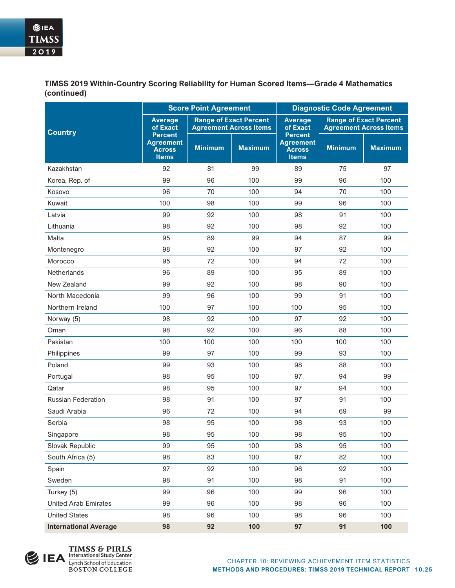**TIMSS 2019 Within-Country Scoring Reliability for Human Scored Items—Grade 4 Mathematics (continued)**

|                              | <b>Score Point Agreement</b>                                                                 |                |                | <b>Diagnostic Code Agreement</b>                                    |                |                                                                |  |
|------------------------------|----------------------------------------------------------------------------------------------|----------------|----------------|---------------------------------------------------------------------|----------------|----------------------------------------------------------------|--|
| <b>Country</b>               | <b>Range of Exact Percent</b><br><b>Average</b><br>of Exact<br><b>Agreement Across Items</b> |                |                | <b>Average</b><br>of Exact                                          |                | <b>Range of Exact Percent</b><br><b>Agreement Across Items</b> |  |
|                              | <b>Percent</b><br><b>Agreement</b><br><b>Across</b><br><b>Items</b>                          | <b>Minimum</b> | <b>Maximum</b> | <b>Percent</b><br><b>Agreement</b><br><b>Across</b><br><b>Items</b> | <b>Minimum</b> | <b>Maximum</b>                                                 |  |
| Kazakhstan                   | 92                                                                                           | 81             | 99             | 89                                                                  | 75             | 97                                                             |  |
| Korea, Rep. of               | 99                                                                                           | 96             | 100            | 99                                                                  | 96             | 100                                                            |  |
| Kosovo                       | 96                                                                                           | 70             | 100            | 94                                                                  | 70             | 100                                                            |  |
| Kuwait                       | 100                                                                                          | 98             | 100            | 99                                                                  | 96             | 100                                                            |  |
| Latvia                       | 99                                                                                           | 92             | 100            | 98                                                                  | 91             | 100                                                            |  |
| Lithuania                    | 98                                                                                           | 92             | 100            | 98                                                                  | 92             | 100                                                            |  |
| Malta                        | 95                                                                                           | 89             | 99             | 94                                                                  | 87             | 99                                                             |  |
| Montenegro                   | 98                                                                                           | 92             | 100            | 97                                                                  | 92             | 100                                                            |  |
| Morocco                      | 95                                                                                           | 72             | 100            | 94                                                                  | 72             | 100                                                            |  |
| <b>Netherlands</b>           | 96                                                                                           | 89             | 100            | 95                                                                  | 89             | 100                                                            |  |
| New Zealand                  | 99                                                                                           | 92             | 100            | 98                                                                  | 90             | 100                                                            |  |
| North Macedonia              | 99                                                                                           | 96             | 100            | 99                                                                  | 91             | 100                                                            |  |
| Northern Ireland             | 100                                                                                          | 97             | 100            | 100                                                                 | 95             | 100                                                            |  |
| Norway (5)                   | 98                                                                                           | 92             | 100            | 97                                                                  | 92             | 100                                                            |  |
| Oman                         | 98                                                                                           | 92             | 100            | 96                                                                  | 88             | 100                                                            |  |
| Pakistan                     | 100                                                                                          | 100            | 100            | 100                                                                 | 100            | 100                                                            |  |
| Philippines                  | 99                                                                                           | 97             | 100            | 99                                                                  | 93             | 100                                                            |  |
| Poland                       | 99                                                                                           | 93             | 100            | 98                                                                  | 88             | 100                                                            |  |
| Portugal                     | 98                                                                                           | 95             | 100            | 97                                                                  | 94             | 99                                                             |  |
| Qatar                        | 98                                                                                           | 95             | 100            | 97                                                                  | 94             | 100                                                            |  |
| <b>Russian Federation</b>    | 98                                                                                           | 91             | 100            | 97                                                                  | 91             | 100                                                            |  |
| Saudi Arabia                 | 96                                                                                           | 72             | 100            | 94                                                                  | 69             | 99                                                             |  |
| Serbia                       | 98                                                                                           | 95             | 100            | 98                                                                  | 93             | 100                                                            |  |
| Singapore                    | 98                                                                                           | 95             | 100            | 98                                                                  | 95             | 100                                                            |  |
| Slovak Republic              | 99                                                                                           | 95             | 100            | 98                                                                  | 95             | 100                                                            |  |
| South Africa (5)             | 98                                                                                           | 83             | 100            | 97                                                                  | 82             | 100                                                            |  |
| Spain                        | 97                                                                                           | 92             | 100            | 96                                                                  | 92             | 100                                                            |  |
| Sweden                       | 98                                                                                           | 91             | 100            | 98                                                                  | 91             | 100                                                            |  |
| Turkey (5)                   | 99                                                                                           | 96             | 100            | 99                                                                  | 96             | 100                                                            |  |
| <b>United Arab Emirates</b>  | 99                                                                                           | 96             | 100            | 98                                                                  | 96             | 100                                                            |  |
| <b>United States</b>         | 98                                                                                           | 96             | 100            | 98                                                                  | 96             | 100                                                            |  |
| <b>International Average</b> | 98                                                                                           | 92             | 100            | 97                                                                  | 91             | 100                                                            |  |

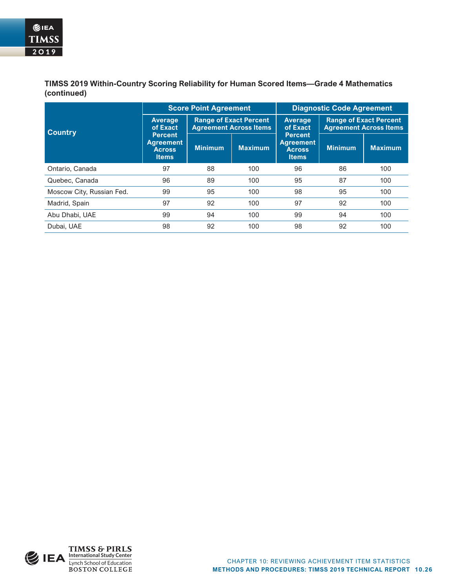**TIMSS 2019 Within-Country Scoring Reliability for Human Scored Items—Grade 4 Mathematics (continued)**

|                           |                                                                     | <b>Score Point Agreement</b>                                   |                | <b>Diagnostic Code Agreement</b>                                    |                                                                |                |  |
|---------------------------|---------------------------------------------------------------------|----------------------------------------------------------------|----------------|---------------------------------------------------------------------|----------------------------------------------------------------|----------------|--|
| <b>Country</b>            | <b>Average</b><br>of Exact                                          | <b>Range of Exact Percent</b><br><b>Agreement Across Items</b> |                | <b>Average</b><br>of Exact                                          | <b>Range of Exact Percent</b><br><b>Agreement Across Items</b> |                |  |
|                           | <b>Percent</b><br><b>Agreement</b><br><b>Across</b><br><b>Items</b> | <b>Minimum</b>                                                 | <b>Maximum</b> | <b>Percent</b><br><b>Agreement</b><br><b>Across</b><br><b>Items</b> | <b>Minimum</b>                                                 | <b>Maximum</b> |  |
| Ontario, Canada           | 97                                                                  | 88                                                             | 100            | 96                                                                  | 86                                                             | 100            |  |
| Quebec, Canada            | 96                                                                  | 89                                                             | 100            | 95                                                                  | 87                                                             | 100            |  |
| Moscow City, Russian Fed. | 99                                                                  | 95                                                             | 100            | 98                                                                  | 95                                                             | 100            |  |
| Madrid, Spain             | 97                                                                  | 92                                                             | 100            | 97                                                                  | 92                                                             | 100            |  |
| Abu Dhabi, UAE            | 99                                                                  | 94                                                             | 100            | 99                                                                  | 94                                                             | 100            |  |
| Dubai, UAE                | 98                                                                  | 92                                                             | 100            | 98                                                                  | 92                                                             | 100            |  |

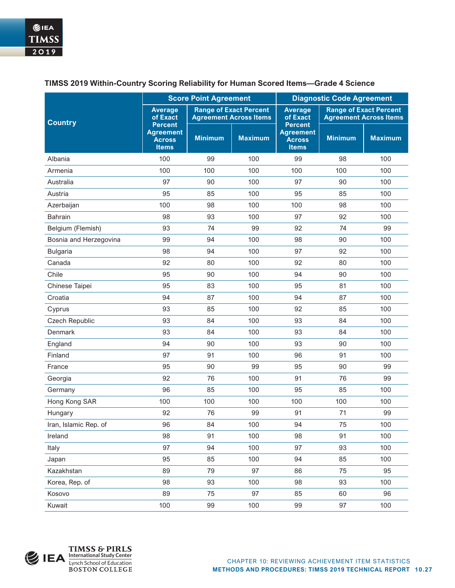|                        | <b>Score Point Agreement</b>                                        |                |                                                                | <b>Diagnostic Code Agreement</b>                                    |                                                                |                |  |
|------------------------|---------------------------------------------------------------------|----------------|----------------------------------------------------------------|---------------------------------------------------------------------|----------------------------------------------------------------|----------------|--|
| <b>Country</b>         | <b>Average</b><br>of Exact                                          |                | <b>Range of Exact Percent</b><br><b>Agreement Across Items</b> | <b>Average</b><br>of Exact                                          | <b>Range of Exact Percent</b><br><b>Agreement Across Items</b> |                |  |
|                        | <b>Percent</b><br><b>Agreement</b><br><b>Across</b><br><b>Items</b> | <b>Minimum</b> | <b>Maximum</b>                                                 | <b>Percent</b><br><b>Agreement</b><br><b>Across</b><br><b>Items</b> | <b>Minimum</b>                                                 | <b>Maximum</b> |  |
| Albania                | 100                                                                 | 99             | 100                                                            | 99                                                                  | 98                                                             | 100            |  |
| Armenia                | 100                                                                 | 100            | 100                                                            | 100                                                                 | 100                                                            | 100            |  |
| Australia              | 97                                                                  | 90             | 100                                                            | 97                                                                  | 90                                                             | 100            |  |
| Austria                | 95                                                                  | 85             | 100                                                            | 95                                                                  | 85                                                             | 100            |  |
| Azerbaijan             | 100                                                                 | 98             | 100                                                            | 100                                                                 | 98                                                             | 100            |  |
| <b>Bahrain</b>         | 98                                                                  | 93             | 100                                                            | 97                                                                  | 92                                                             | 100            |  |
| Belgium (Flemish)      | 93                                                                  | 74             | 99                                                             | 92                                                                  | 74                                                             | 99             |  |
| Bosnia and Herzegovina | 99                                                                  | 94             | 100                                                            | 98                                                                  | 90                                                             | 100            |  |
| <b>Bulgaria</b>        | 98                                                                  | 94             | 100                                                            | 97                                                                  | 92                                                             | 100            |  |
| Canada                 | 92                                                                  | 80             | 100                                                            | 92                                                                  | 80                                                             | 100            |  |
| Chile                  | 95                                                                  | 90             | 100                                                            | 94                                                                  | 90                                                             | 100            |  |
| Chinese Taipei         | 95                                                                  | 83             | 100                                                            | 95                                                                  | 81                                                             | 100            |  |
| Croatia                | 94                                                                  | 87             | 100                                                            | 94                                                                  | 87                                                             | 100            |  |
| Cyprus                 | 93                                                                  | 85             | 100                                                            | 92                                                                  | 85                                                             | 100            |  |
| Czech Republic         | 93                                                                  | 84             | 100                                                            | 93                                                                  | 84                                                             | 100            |  |
| Denmark                | 93                                                                  | 84             | 100                                                            | 93                                                                  | 84                                                             | 100            |  |
| England                | 94                                                                  | 90             | 100                                                            | 93                                                                  | 90                                                             | 100            |  |
| Finland                | 97                                                                  | 91             | 100                                                            | 96                                                                  | 91                                                             | 100            |  |
| France                 | 95                                                                  | 90             | 99                                                             | 95                                                                  | 90                                                             | 99             |  |
| Georgia                | 92                                                                  | 76             | 100                                                            | 91                                                                  | 76                                                             | 99             |  |
| Germany                | 96                                                                  | 85             | 100                                                            | 95                                                                  | 85                                                             | 100            |  |
| Hong Kong SAR          | 100                                                                 | 100            | 100                                                            | 100                                                                 | 100                                                            | 100            |  |
| Hungary                | 92                                                                  | 76             | 99                                                             | 91                                                                  | 71                                                             | 99             |  |
| Iran, Islamic Rep. of  | 96                                                                  | 84             | 100                                                            | 94                                                                  | 75                                                             | 100            |  |
| Ireland                | 98                                                                  | 91             | 100                                                            | 98                                                                  | 91                                                             | 100            |  |
| Italy                  | 97                                                                  | 94             | 100                                                            | 97                                                                  | 93                                                             | 100            |  |
| Japan                  | 95                                                                  | 85             | 100                                                            | 94                                                                  | 85                                                             | 100            |  |
| Kazakhstan             | 89                                                                  | 79             | 97                                                             | 86                                                                  | 75                                                             | 95             |  |
| Korea, Rep. of         | 98                                                                  | 93             | 100                                                            | 98                                                                  | 93                                                             | 100            |  |
| Kosovo                 | 89                                                                  | 75             | 97                                                             | 85                                                                  | 60                                                             | 96             |  |
| Kuwait                 | 100                                                                 | 99             | 100                                                            | 99                                                                  | 97                                                             | 100            |  |

## **TIMSS 2019 Within-Country Scoring Reliability for Human Scored Items—Grade 4 Science**

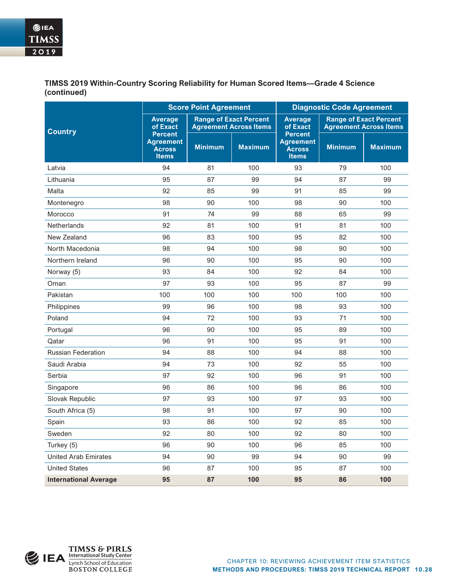**TIMSS 2019 Within-Country Scoring Reliability for Human Scored Items—Grade 4 Science (continued)**

|                              |                                                                     | <b>Score Point Agreement</b>                                   |                | <b>Diagnostic Code Agreement</b>                                    |                |                                                                |  |
|------------------------------|---------------------------------------------------------------------|----------------------------------------------------------------|----------------|---------------------------------------------------------------------|----------------|----------------------------------------------------------------|--|
| <b>Country</b>               | <b>Average</b><br>of Exact                                          | <b>Range of Exact Percent</b><br><b>Agreement Across Items</b> |                | <b>Average</b><br>of Exact                                          |                | <b>Range of Exact Percent</b><br><b>Agreement Across Items</b> |  |
|                              | <b>Percent</b><br><b>Agreement</b><br><b>Across</b><br><b>Items</b> | <b>Minimum</b>                                                 | <b>Maximum</b> | <b>Percent</b><br><b>Agreement</b><br><b>Across</b><br><b>Items</b> | <b>Minimum</b> | <b>Maximum</b>                                                 |  |
| Latvia                       | 94                                                                  | 81                                                             | 100            | 93                                                                  | 79             | 100                                                            |  |
| Lithuania                    | 95                                                                  | 87                                                             | 99             | 94                                                                  | 87             | 99                                                             |  |
| Malta                        | 92                                                                  | 85                                                             | 99             | 91                                                                  | 85             | 99                                                             |  |
| Montenegro                   | 98                                                                  | 90                                                             | 100            | 98                                                                  | 90             | 100                                                            |  |
| Morocco                      | 91                                                                  | 74                                                             | 99             | 88                                                                  | 65             | 99                                                             |  |
| <b>Netherlands</b>           | 92                                                                  | 81                                                             | 100            | 91                                                                  | 81             | 100                                                            |  |
| New Zealand                  | 96                                                                  | 83                                                             | 100            | 95                                                                  | 82             | 100                                                            |  |
| North Macedonia              | 98                                                                  | 94                                                             | 100            | 98                                                                  | 90             | 100                                                            |  |
| Northern Ireland             | 96                                                                  | 90                                                             | 100            | 95                                                                  | 90             | 100                                                            |  |
| Norway (5)                   | 93                                                                  | 84                                                             | 100            | 92                                                                  | 84             | 100                                                            |  |
| Oman                         | 97                                                                  | 93                                                             | 100            | 95                                                                  | 87             | 99                                                             |  |
| Pakistan                     | 100                                                                 | 100                                                            | 100            | 100                                                                 | 100            | 100                                                            |  |
| Philippines                  | 99                                                                  | 96                                                             | 100            | 98                                                                  | 93             | 100                                                            |  |
| Poland                       | 94                                                                  | 72                                                             | 100            | 93                                                                  | 71             | 100                                                            |  |
| Portugal                     | 96                                                                  | 90                                                             | 100            | 95                                                                  | 89             | 100                                                            |  |
| Qatar                        | 96                                                                  | 91                                                             | 100            | 95                                                                  | 91             | 100                                                            |  |
| <b>Russian Federation</b>    | 94                                                                  | 88                                                             | 100            | 94                                                                  | 88             | 100                                                            |  |
| Saudi Arabia                 | 94                                                                  | 73                                                             | 100            | 92                                                                  | 55             | 100                                                            |  |
| Serbia                       | 97                                                                  | 92                                                             | 100            | 96                                                                  | 91             | 100                                                            |  |
| Singapore                    | 96                                                                  | 86                                                             | 100            | 96                                                                  | 86             | 100                                                            |  |
| Slovak Republic              | 97                                                                  | 93                                                             | 100            | 97                                                                  | 93             | 100                                                            |  |
| South Africa (5)             | 98                                                                  | 91                                                             | 100            | 97                                                                  | 90             | 100                                                            |  |
| Spain                        | 93                                                                  | 86                                                             | 100            | 92                                                                  | 85             | 100                                                            |  |
| Sweden                       | 92                                                                  | 80                                                             | 100            | 92                                                                  | 80             | 100                                                            |  |
| Turkey (5)                   | 96                                                                  | 90                                                             | 100            | 96                                                                  | 85             | 100                                                            |  |
| United Arab Emirates         | 94                                                                  | 90                                                             | 99             | 94                                                                  | 90             | 99                                                             |  |
| <b>United States</b>         | 96                                                                  | 87                                                             | 100            | 95                                                                  | 87             | 100                                                            |  |
| <b>International Average</b> | 95                                                                  | 87                                                             | 100            | 95                                                                  | 86             | 100                                                            |  |

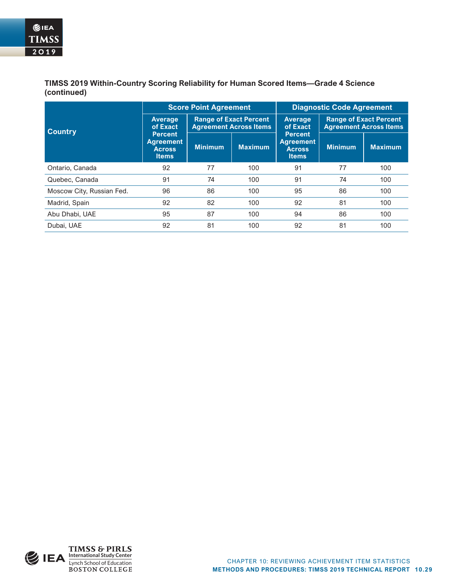**TIMSS 2019 Within-Country Scoring Reliability for Human Scored Items—Grade 4 Science (continued)**

|                           |                                                                     | <b>Score Point Agreement</b>                                   |                | <b>Diagnostic Code Agreement</b>                             |                                                                |                |  |
|---------------------------|---------------------------------------------------------------------|----------------------------------------------------------------|----------------|--------------------------------------------------------------|----------------------------------------------------------------|----------------|--|
| <b>Country</b>            | <b>Average</b><br>of Exact                                          | <b>Range of Exact Percent</b><br><b>Agreement Across Items</b> |                | <b>Average</b><br>of Exact                                   | <b>Range of Exact Percent</b><br><b>Agreement Across Items</b> |                |  |
|                           | <b>Percent</b><br><b>Agreement</b><br><b>Across</b><br><b>Items</b> | <b>Minimum</b>                                                 | <b>Maximum</b> | <b>Percent</b><br>Agreement<br><b>Across</b><br><b>Items</b> | <b>Minimum</b>                                                 | <b>Maximum</b> |  |
| Ontario, Canada           | 92                                                                  | 77                                                             | 100            | 91                                                           | 77                                                             | 100            |  |
| Quebec, Canada            | 91                                                                  | 74                                                             | 100            | 91                                                           | 74                                                             | 100            |  |
| Moscow City, Russian Fed. | 96                                                                  | 86                                                             | 100            | 95                                                           | 86                                                             | 100            |  |
| Madrid, Spain             | 92                                                                  | 82                                                             | 100            | 92                                                           | 81                                                             | 100            |  |
| Abu Dhabi, UAE            | 95                                                                  | 87                                                             | 100            | 94                                                           | 86                                                             | 100            |  |
| Dubai, UAE                | 92                                                                  | 81                                                             | 100            | 92                                                           | 81                                                             | 100            |  |

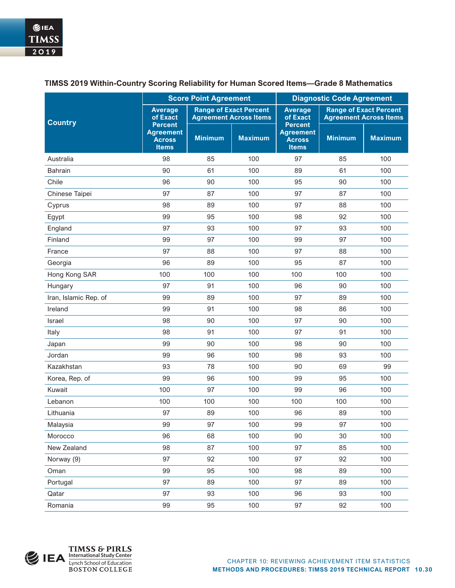|                       | <b>Score Point Agreement</b>                                        |                |                                                                | <b>Diagnostic Code Agreement</b>                                    |                |                                                                |  |
|-----------------------|---------------------------------------------------------------------|----------------|----------------------------------------------------------------|---------------------------------------------------------------------|----------------|----------------------------------------------------------------|--|
| <b>Country</b>        | <b>Average</b><br>of Exact                                          |                | <b>Range of Exact Percent</b><br><b>Agreement Across Items</b> | <b>Average</b><br>of Exact                                          |                | <b>Range of Exact Percent</b><br><b>Agreement Across Items</b> |  |
|                       | <b>Percent</b><br><b>Agreement</b><br><b>Across</b><br><b>Items</b> | <b>Minimum</b> | <b>Maximum</b>                                                 | <b>Percent</b><br><b>Agreement</b><br><b>Across</b><br><b>Items</b> | <b>Minimum</b> | <b>Maximum</b>                                                 |  |
| Australia             | 98                                                                  | 85             | 100                                                            | 97                                                                  | 85             | 100                                                            |  |
| Bahrain               | 90                                                                  | 61             | 100                                                            | 89                                                                  | 61             | 100                                                            |  |
| Chile                 | 96                                                                  | 90             | 100                                                            | 95                                                                  | 90             | 100                                                            |  |
| Chinese Taipei        | 97                                                                  | 87             | 100                                                            | 97                                                                  | 87             | 100                                                            |  |
| Cyprus                | 98                                                                  | 89             | 100                                                            | 97                                                                  | 88             | 100                                                            |  |
| Egypt                 | 99                                                                  | 95             | 100                                                            | 98                                                                  | 92             | 100                                                            |  |
| England               | 97                                                                  | 93             | 100                                                            | 97                                                                  | 93             | 100                                                            |  |
| Finland               | 99                                                                  | 97             | 100                                                            | 99                                                                  | 97             | 100                                                            |  |
| France                | 97                                                                  | 88             | 100                                                            | 97                                                                  | 88             | 100                                                            |  |
| Georgia               | 96                                                                  | 89             | 100                                                            | 95                                                                  | 87             | 100                                                            |  |
| Hong Kong SAR         | 100                                                                 | 100            | 100                                                            | 100                                                                 | 100            | 100                                                            |  |
| Hungary               | 97                                                                  | 91             | 100                                                            | 96                                                                  | 90             | 100                                                            |  |
| Iran, Islamic Rep. of | 99                                                                  | 89             | 100                                                            | 97                                                                  | 89             | 100                                                            |  |
| Ireland               | 99                                                                  | 91             | 100                                                            | 98                                                                  | 86             | 100                                                            |  |
| Israel                | 98                                                                  | 90             | 100                                                            | 97                                                                  | 90             | 100                                                            |  |
| Italy                 | 98                                                                  | 91             | 100                                                            | 97                                                                  | 91             | 100                                                            |  |
| Japan                 | 99                                                                  | 90             | 100                                                            | 98                                                                  | 90             | 100                                                            |  |
| Jordan                | 99                                                                  | 96             | 100                                                            | 98                                                                  | 93             | 100                                                            |  |
| Kazakhstan            | 93                                                                  | 78             | 100                                                            | 90                                                                  | 69             | 99                                                             |  |
| Korea, Rep. of        | 99                                                                  | 96             | 100                                                            | 99                                                                  | 95             | 100                                                            |  |
| Kuwait                | 100                                                                 | 97             | 100                                                            | 99                                                                  | 96             | 100                                                            |  |
| Lebanon               | 100                                                                 | 100            | 100                                                            | 100                                                                 | 100            | 100                                                            |  |
| Lithuania             | 97                                                                  | 89             | 100                                                            | 96                                                                  | 89             | 100                                                            |  |
| Malaysia              | 99                                                                  | 97             | 100                                                            | 99                                                                  | 97             | 100                                                            |  |
| Morocco               | 96                                                                  | 68             | 100                                                            | 90                                                                  | 30             | 100                                                            |  |
| New Zealand           | 98                                                                  | 87             | 100                                                            | 97                                                                  | 85             | 100                                                            |  |
| Norway (9)            | 97                                                                  | 92             | 100                                                            | 97                                                                  | 92             | 100                                                            |  |
| Oman                  | 99                                                                  | 95             | 100                                                            | 98                                                                  | 89             | 100                                                            |  |
| Portugal              | 97                                                                  | 89             | 100                                                            | 97                                                                  | 89             | 100                                                            |  |
| Qatar                 | 97                                                                  | 93             | 100                                                            | 96                                                                  | 93             | 100                                                            |  |
| Romania               | 99                                                                  | 95             | 100                                                            | 97                                                                  | 92             | 100                                                            |  |

## **TIMSS 2019 Within-Country Scoring Reliability for Human Scored Items—Grade 8 Mathematics**

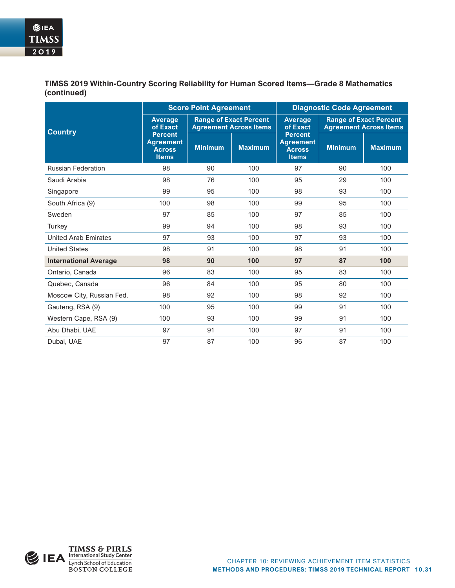**TIMSS 2019 Within-Country Scoring Reliability for Human Scored Items—Grade 8 Mathematics (continued)**

|                              | <b>Score Point Agreement</b>                                        |                |                                                                | <b>Diagnostic Code Agreement</b>                                    |                                                                |                |
|------------------------------|---------------------------------------------------------------------|----------------|----------------------------------------------------------------|---------------------------------------------------------------------|----------------------------------------------------------------|----------------|
| <b>Country</b>               | <b>Average</b><br>of Exact                                          |                | <b>Range of Exact Percent</b><br><b>Agreement Across Items</b> |                                                                     | <b>Range of Exact Percent</b><br><b>Agreement Across Items</b> |                |
|                              | <b>Percent</b><br><b>Agreement</b><br><b>Across</b><br><b>Items</b> | <b>Minimum</b> | <b>Maximum</b>                                                 | <b>Percent</b><br><b>Agreement</b><br><b>Across</b><br><b>Items</b> | <b>Minimum</b>                                                 | <b>Maximum</b> |
| <b>Russian Federation</b>    | 98                                                                  | 90             | 100                                                            | 97                                                                  | 90                                                             | 100            |
| Saudi Arabia                 | 98                                                                  | 76             | 100                                                            | 95                                                                  | 29                                                             | 100            |
| Singapore                    | 99                                                                  | 95             | 100                                                            | 98                                                                  | 93                                                             | 100            |
| South Africa (9)             | 100                                                                 | 98             | 100                                                            | 99                                                                  | 95                                                             | 100            |
| Sweden                       | 97                                                                  | 85             | 100                                                            | 97                                                                  | 85                                                             | 100            |
| Turkey                       | 99                                                                  | 94             | 100                                                            | 98                                                                  | 93                                                             | 100            |
| <b>United Arab Emirates</b>  | 97                                                                  | 93             | 100                                                            | 97                                                                  | 93                                                             | 100            |
| <b>United States</b>         | 98                                                                  | 91             | 100                                                            | 98                                                                  | 91                                                             | 100            |
| <b>International Average</b> | 98                                                                  | 90             | 100                                                            | 97                                                                  | 87                                                             | 100            |
| Ontario, Canada              | 96                                                                  | 83             | 100                                                            | 95                                                                  | 83                                                             | 100            |
| Quebec, Canada               | 96                                                                  | 84             | 100                                                            | 95                                                                  | 80                                                             | 100            |
| Moscow City, Russian Fed.    | 98                                                                  | 92             | 100                                                            | 98                                                                  | 92                                                             | 100            |
| Gauteng, RSA (9)             | 100                                                                 | 95             | 100                                                            | 99                                                                  | 91                                                             | 100            |
| Western Cape, RSA (9)        | 100                                                                 | 93             | 100                                                            | 99                                                                  | 91                                                             | 100            |
| Abu Dhabi, UAE               | 97                                                                  | 91             | 100                                                            | 97                                                                  | 91                                                             | 100            |
| Dubai, UAE                   | 97                                                                  | 87             | 100                                                            | 96                                                                  | 87                                                             | 100            |

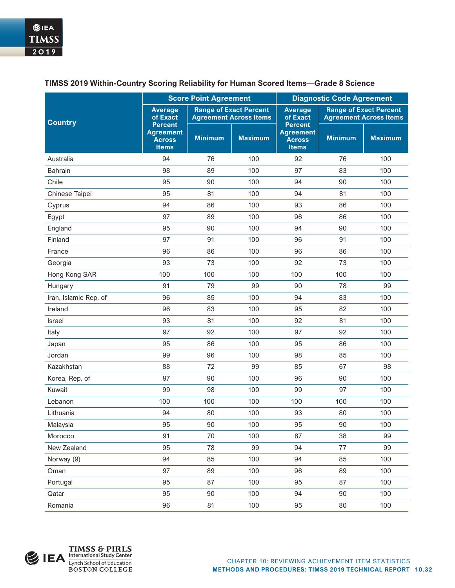|                       | <b>Score Point Agreement</b>                                        |                |                                                                | <b>Diagnostic Code Agreement</b>                                    |                                                                |                |  |
|-----------------------|---------------------------------------------------------------------|----------------|----------------------------------------------------------------|---------------------------------------------------------------------|----------------------------------------------------------------|----------------|--|
| <b>Country</b>        | <b>Average</b><br>of Exact                                          |                | <b>Range of Exact Percent</b><br><b>Agreement Across Items</b> | <b>Average</b><br>of Exact                                          | <b>Range of Exact Percent</b><br><b>Agreement Across Items</b> |                |  |
|                       | <b>Percent</b><br><b>Agreement</b><br><b>Across</b><br><b>Items</b> | <b>Minimum</b> | <b>Maximum</b>                                                 | <b>Percent</b><br><b>Agreement</b><br><b>Across</b><br><b>Items</b> | <b>Minimum</b>                                                 | <b>Maximum</b> |  |
| Australia             | 94                                                                  | 76             | 100                                                            | 92                                                                  | 76                                                             | 100            |  |
| <b>Bahrain</b>        | 98                                                                  | 89             | 100                                                            | 97                                                                  | 83                                                             | 100            |  |
| Chile                 | 95                                                                  | 90             | 100                                                            | 94                                                                  | 90                                                             | 100            |  |
| Chinese Taipei        | 95                                                                  | 81             | 100                                                            | 94                                                                  | 81                                                             | 100            |  |
| Cyprus                | 94                                                                  | 86             | 100                                                            | 93                                                                  | 86                                                             | 100            |  |
| Egypt                 | 97                                                                  | 89             | 100                                                            | 96                                                                  | 86                                                             | 100            |  |
| England               | 95                                                                  | 90             | 100                                                            | 94                                                                  | 90                                                             | 100            |  |
| Finland               | 97                                                                  | 91             | 100                                                            | 96                                                                  | 91                                                             | 100            |  |
| France                | 96                                                                  | 86             | 100                                                            | 96                                                                  | 86                                                             | 100            |  |
| Georgia               | 93                                                                  | 73             | 100                                                            | 92                                                                  | 73                                                             | 100            |  |
| Hong Kong SAR         | 100                                                                 | 100            | 100                                                            | 100                                                                 | 100                                                            | 100            |  |
| Hungary               | 91                                                                  | 79             | 99                                                             | 90                                                                  | 78                                                             | 99             |  |
| Iran, Islamic Rep. of | 96                                                                  | 85             | 100                                                            | 94                                                                  | 83                                                             | 100            |  |
| Ireland               | 96                                                                  | 83             | 100                                                            | 95                                                                  | 82                                                             | 100            |  |
| Israel                | 93                                                                  | 81             | 100                                                            | 92                                                                  | 81                                                             | 100            |  |
| Italy                 | 97                                                                  | 92             | 100                                                            | 97                                                                  | 92                                                             | 100            |  |
| Japan                 | 95                                                                  | 86             | 100                                                            | 95                                                                  | 86                                                             | 100            |  |
| Jordan                | 99                                                                  | 96             | 100                                                            | 98                                                                  | 85                                                             | 100            |  |
| Kazakhstan            | 88                                                                  | 72             | 99                                                             | 85                                                                  | 67                                                             | 98             |  |
| Korea, Rep. of        | 97                                                                  | 90             | 100                                                            | 96                                                                  | 90                                                             | 100            |  |
| Kuwait                | 99                                                                  | 98             | 100                                                            | 99                                                                  | 97                                                             | 100            |  |
| Lebanon               | 100                                                                 | 100            | 100                                                            | 100                                                                 | 100                                                            | 100            |  |
| Lithuania             | 94                                                                  | 80             | 100                                                            | 93                                                                  | 80                                                             | 100            |  |
| Malaysia              | 95                                                                  | 90             | 100                                                            | 95                                                                  | $90\,$                                                         | 100            |  |
| Morocco               | 91                                                                  | 70             | 100                                                            | 87                                                                  | 38                                                             | 99             |  |
| New Zealand           | 95                                                                  | 78             | 99                                                             | 94                                                                  | 77                                                             | 99             |  |
| Norway (9)            | 94                                                                  | 85             | 100                                                            | 94                                                                  | 85                                                             | 100            |  |
| Oman                  | 97                                                                  | 89             | 100                                                            | 96                                                                  | 89                                                             | 100            |  |
| Portugal              | 95                                                                  | 87             | 100                                                            | 95                                                                  | 87                                                             | 100            |  |
| Qatar                 | 95                                                                  | 90             | 100                                                            | 94                                                                  | 90                                                             | 100            |  |
| Romania               | 96                                                                  | 81             | 100                                                            | 95                                                                  | 80                                                             | 100            |  |

## **TIMSS 2019 Within-Country Scoring Reliability for Human Scored Items—Grade 8 Science**